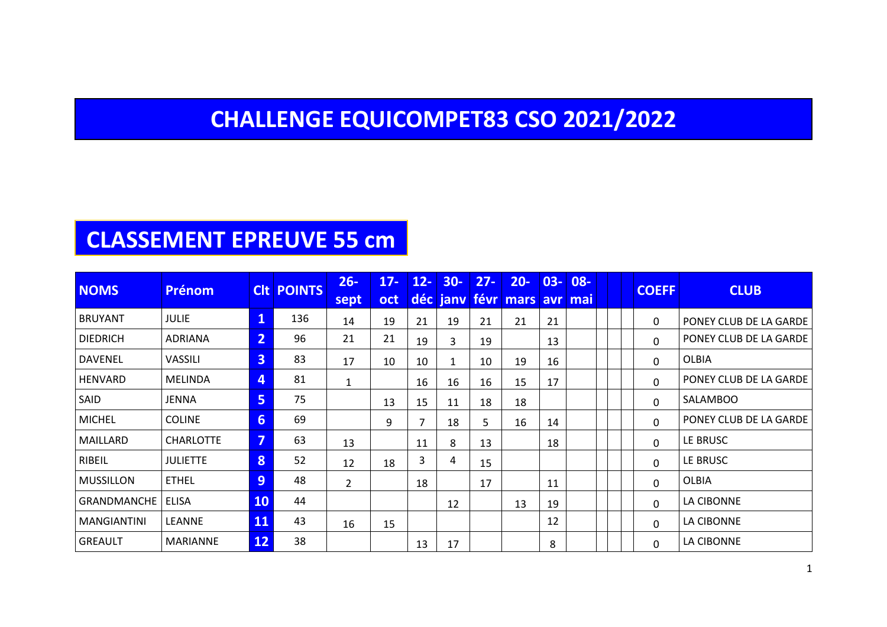### **CHALLENGE EQUICOMPET83 CSO 2021/2022**

### **CLASSEMENT EPREUVE 55 cm**

| <b>NOMS</b>        | <b>Prénom</b>    |                         | <b>CIT POINTS</b> | $26 -$<br>sept | $17 -$<br>oct | $12 -$ | $30 -$<br>déc jany | $27 -$ | $20 -$<br>févr mars avr mai | $03 -$ | $08 -$ |  | <b>COEFF</b> | <b>CLUB</b>            |
|--------------------|------------------|-------------------------|-------------------|----------------|---------------|--------|--------------------|--------|-----------------------------|--------|--------|--|--------------|------------------------|
| <b>BRUYANT</b>     | <b>JULIE</b>     | 1                       | 136               | 14             | 19            | 21     | 19                 | 21     | 21                          | 21     |        |  | 0            | PONEY CLUB DE LA GARDE |
| <b>DIEDRICH</b>    | <b>ADRIANA</b>   | $\overline{2}$          | 96                | 21             | 21            | 19     | 3                  | 19     |                             | 13     |        |  | 0            | PONEY CLUB DE LA GARDE |
| DAVENEL            | VASSILI          | $\overline{\mathbf{3}}$ | 83                | 17             | 10            | 10     | 1                  | 10     | 19                          | 16     |        |  | 0            | <b>OLBIA</b>           |
| HENVARD            | <b>MELINDA</b>   | 4                       | 81                | 1              |               | 16     | 16                 | 16     | 15                          | 17     |        |  | 0            | PONEY CLUB DE LA GARDE |
| SAID               | JENNA            | 5                       | 75                |                | 13            | 15     | 11                 | 18     | 18                          |        |        |  | 0            | <b>SALAMBOO</b>        |
| <b>MICHEL</b>      | <b>COLINE</b>    | 6                       | 69                |                | 9             | 7      | 18                 | 5.     | 16                          | 14     |        |  | $\Omega$     | PONEY CLUB DE LA GARDE |
| MAILLARD           | <b>CHARLOTTE</b> | 7                       | 63                | 13             |               | 11     | 8                  | 13     |                             | 18     |        |  | 0            | LE BRUSC               |
| RIBEIL             | <b>JULIETTE</b>  | 8                       | 52                | 12             | 18            | 3      | 4                  | 15     |                             |        |        |  | $\Omega$     | LE BRUSC               |
| <b>MUSSILLON</b>   | <b>ETHEL</b>     | 9                       | 48                | $\overline{2}$ |               | 18     |                    | 17     |                             | 11     |        |  | 0            | <b>OLBIA</b>           |
| <b>GRANDMANCHE</b> | <b>ELISA</b>     | 10                      | 44                |                |               |        | 12                 |        | 13                          | 19     |        |  | 0            | LA CIBONNE             |
| <b>MANGIANTINI</b> | LEANNE           | 11                      | 43                | 16             | 15            |        |                    |        |                             | 12     |        |  | $\Omega$     | LA CIBONNE             |
| <b>GREAULT</b>     | <b>MARIANNE</b>  | <b>12</b>               | 38                |                |               | 13     | 17                 |        |                             | 8      |        |  | 0            | LA CIBONNE             |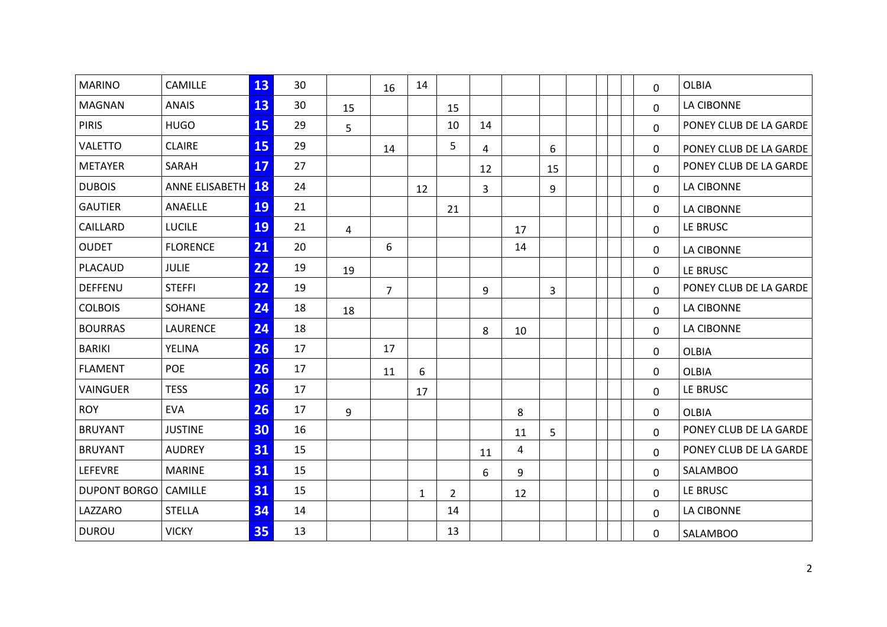| <b>MARINO</b>       | CAMILLE           | 13 | 30 |                | 16             | 14           |                |    |    |    |  | 0           | <b>OLBIA</b>           |
|---------------------|-------------------|----|----|----------------|----------------|--------------|----------------|----|----|----|--|-------------|------------------------|
| <b>MAGNAN</b>       | <b>ANAIS</b>      | 13 | 30 | 15             |                |              | 15             |    |    |    |  | $\Omega$    | LA CIBONNE             |
| <b>PIRIS</b>        | <b>HUGO</b>       | 15 | 29 | 5              |                |              | 10             | 14 |    |    |  | 0           | PONEY CLUB DE LA GARDE |
| <b>VALETTO</b>      | <b>CLAIRE</b>     | 15 | 29 |                | 14             |              | 5              | 4  |    | 6  |  | 0           | PONEY CLUB DE LA GARDE |
| <b>METAYER</b>      | SARAH             | 17 | 27 |                |                |              |                | 12 |    | 15 |  | $\Omega$    | PONEY CLUB DE LA GARDE |
| <b>DUBOIS</b>       | ANNE ELISABETH 18 |    | 24 |                |                | 12           |                | 3  |    | 9  |  | $\Omega$    | LA CIBONNE             |
| <b>GAUTIER</b>      | ANAELLE           | 19 | 21 |                |                |              | 21             |    |    |    |  | 0           | <b>LA CIBONNE</b>      |
| CAILLARD            | <b>LUCILE</b>     | 19 | 21 | $\overline{4}$ |                |              |                |    | 17 |    |  | 0           | LE BRUSC               |
| <b>OUDET</b>        | <b>FLORENCE</b>   | 21 | 20 |                | 6              |              |                |    | 14 |    |  | 0           | LA CIBONNE             |
| PLACAUD             | <b>JULIE</b>      | 22 | 19 | 19             |                |              |                |    |    |    |  | 0           | LE BRUSC               |
| <b>DEFFENU</b>      | <b>STEFFI</b>     | 22 | 19 |                | $\overline{7}$ |              |                | 9  |    | 3  |  | $\Omega$    | PONEY CLUB DE LA GARDE |
| <b>COLBOIS</b>      | SOHANE            | 24 | 18 | 18             |                |              |                |    |    |    |  | 0           | LA CIBONNE             |
| <b>BOURRAS</b>      | <b>LAURENCE</b>   | 24 | 18 |                |                |              |                | 8  | 10 |    |  | 0           | LA CIBONNE             |
| <b>BARIKI</b>       | YELINA            | 26 | 17 |                | 17             |              |                |    |    |    |  | 0           | <b>OLBIA</b>           |
| <b>FLAMENT</b>      | <b>POE</b>        | 26 | 17 |                | 11             | 6            |                |    |    |    |  | 0           | <b>OLBIA</b>           |
| <b>VAINGUER</b>     | <b>TESS</b>       | 26 | 17 |                |                | 17           |                |    |    |    |  | $\Omega$    | LE BRUSC               |
| <b>ROY</b>          | <b>EVA</b>        | 26 | 17 | 9              |                |              |                |    | 8  |    |  | 0           | <b>OLBIA</b>           |
| <b>BRUYANT</b>      | <b>JUSTINE</b>    | 30 | 16 |                |                |              |                |    | 11 | 5  |  | $\Omega$    | PONEY CLUB DE LA GARDE |
| <b>BRUYANT</b>      | <b>AUDREY</b>     | 31 | 15 |                |                |              |                | 11 | 4  |    |  | $\Omega$    | PONEY CLUB DE LA GARDE |
| LEFEVRE             | <b>MARINE</b>     | 31 | 15 |                |                |              |                | 6  | 9  |    |  | $\mathbf 0$ | <b>SALAMBOO</b>        |
| <b>DUPONT BORGO</b> | <b>CAMILLE</b>    | 31 | 15 |                |                | $\mathbf{1}$ | $\overline{2}$ |    | 12 |    |  | 0           | LE BRUSC               |
| LAZZARO             | <b>STELLA</b>     | 34 | 14 |                |                |              | 14             |    |    |    |  | 0           | LA CIBONNE             |
| <b>DUROU</b>        | <b>VICKY</b>      | 35 | 13 |                |                |              | 13             |    |    |    |  | 0           | <b>SALAMBOO</b>        |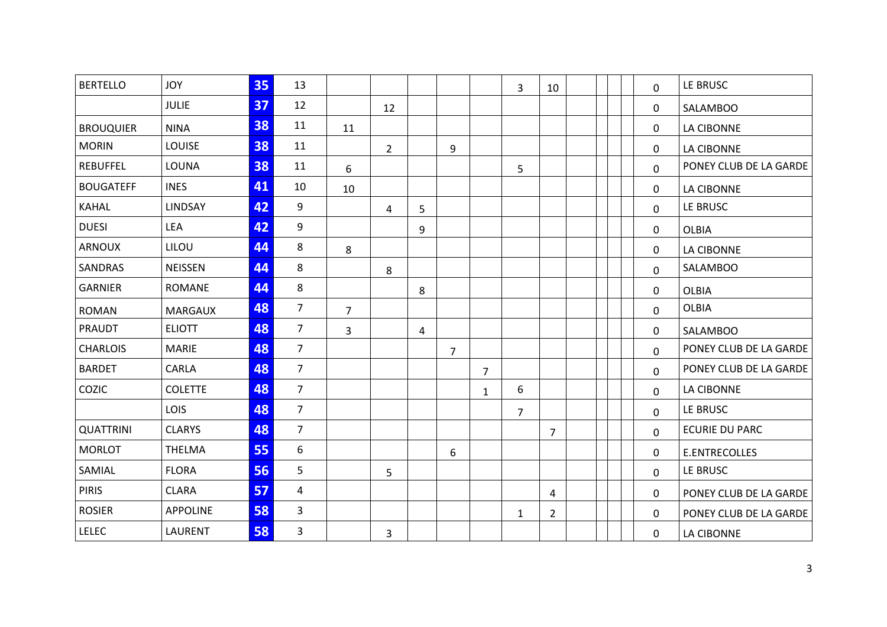| <b>BERTELLO</b>  | <b>JOY</b>      | 35 | 13             |                |                |   |                |                | 3 | 10             |  | 0           | LE BRUSC               |
|------------------|-----------------|----|----------------|----------------|----------------|---|----------------|----------------|---|----------------|--|-------------|------------------------|
|                  | <b>JULIE</b>    | 37 | 12             |                | 12             |   |                |                |   |                |  | 0           | <b>SALAMBOO</b>        |
| <b>BROUQUIER</b> | <b>NINA</b>     | 38 | 11             | 11             |                |   |                |                |   |                |  | 0           | LA CIBONNE             |
| <b>MORIN</b>     | LOUISE          | 38 | 11             |                | $\overline{2}$ |   | 9              |                |   |                |  | 0           | LA CIBONNE             |
| <b>REBUFFEL</b>  | LOUNA           | 38 | 11             | 6              |                |   |                |                | 5 |                |  | $\Omega$    | PONEY CLUB DE LA GARDE |
| <b>BOUGATEFF</b> | <b>INES</b>     | 41 | 10             | 10             |                |   |                |                |   |                |  | 0           | LA CIBONNE             |
| KAHAL            | LINDSAY         | 42 | 9              |                | 4              | 5 |                |                |   |                |  | 0           | LE BRUSC               |
| <b>DUESI</b>     | <b>LEA</b>      | 42 | 9              |                |                | 9 |                |                |   |                |  | 0           | <b>OLBIA</b>           |
| <b>ARNOUX</b>    | LILOU           | 44 | 8              | 8              |                |   |                |                |   |                |  | 0           | LA CIBONNE             |
| SANDRAS          | <b>NEISSEN</b>  | 44 | 8              |                | 8              |   |                |                |   |                |  | 0           | <b>SALAMBOO</b>        |
| <b>GARNIER</b>   | <b>ROMANE</b>   | 44 | 8              |                |                | 8 |                |                |   |                |  | 0           | <b>OLBIA</b>           |
| <b>ROMAN</b>     | <b>MARGAUX</b>  | 48 | $\overline{7}$ | $\overline{7}$ |                |   |                |                |   |                |  | 0           | <b>OLBIA</b>           |
| PRAUDT           | <b>ELIOTT</b>   | 48 | $\overline{7}$ | $\overline{3}$ |                | 4 |                |                |   |                |  | 0           | <b>SALAMBOO</b>        |
| <b>CHARLOIS</b>  | <b>MARIE</b>    | 48 | $\overline{7}$ |                |                |   | $\overline{7}$ |                |   |                |  | 0           | PONEY CLUB DE LA GARDE |
| <b>BARDET</b>    | CARLA           | 48 | $\overline{7}$ |                |                |   |                | $\overline{7}$ |   |                |  | 0           | PONEY CLUB DE LA GARDE |
| COZIC            | <b>COLETTE</b>  | 48 | $7^{\circ}$    |                |                |   |                | $\mathbf{1}$   | 6 |                |  | $\Omega$    | <b>LA CIBONNE</b>      |
|                  | LOIS            | 48 | $\overline{7}$ |                |                |   |                |                | 7 |                |  | 0           | LE BRUSC               |
| <b>QUATTRINI</b> | <b>CLARYS</b>   | 48 | $\overline{7}$ |                |                |   |                |                |   | $\overline{7}$ |  | 0           | <b>ECURIE DU PARC</b>  |
| <b>MORLOT</b>    | <b>THELMA</b>   | 55 | 6              |                |                |   | 6              |                |   |                |  | 0           | <b>E.ENTRECOLLES</b>   |
| SAMIAL           | <b>FLORA</b>    | 56 | 5              |                | 5              |   |                |                |   |                |  | $\mathbf 0$ | LE BRUSC               |
| <b>PIRIS</b>     | <b>CLARA</b>    | 57 | 4              |                |                |   |                |                |   | 4              |  | 0           | PONEY CLUB DE LA GARDE |
| <b>ROSIER</b>    | <b>APPOLINE</b> | 58 | 3              |                |                |   |                |                | 1 | 2              |  | 0           | PONEY CLUB DE LA GARDE |
| <b>LELEC</b>     | LAURENT         | 58 | 3              |                | 3              |   |                |                |   |                |  | 0           | LA CIBONNE             |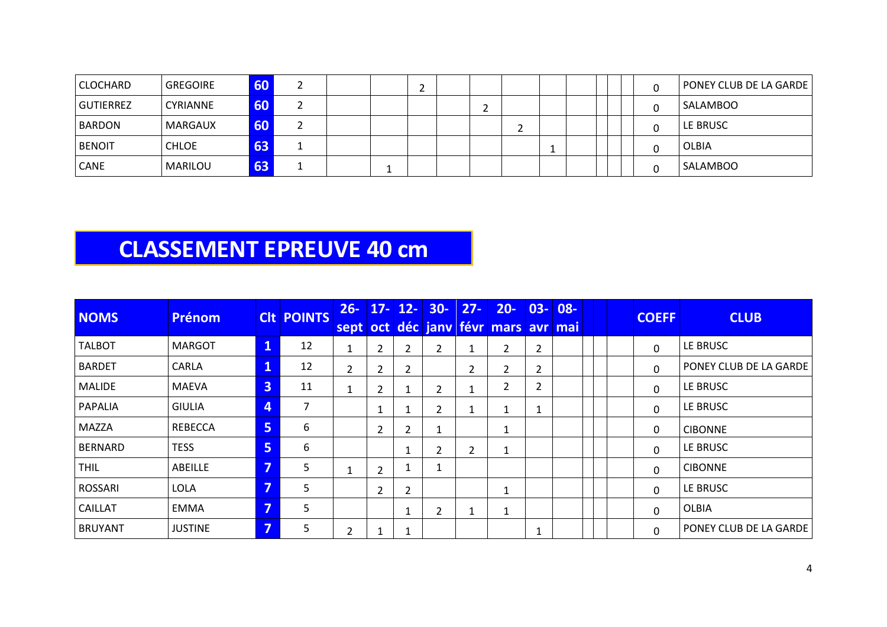| <b>CLOCHARD</b> | GREGOIRE     | 60 |  |  |  |  |  |  | PONEY CLUB DE LA GARDE |
|-----------------|--------------|----|--|--|--|--|--|--|------------------------|
| GUTIERREZ       | CYRIANNE     | 60 |  |  |  |  |  |  | <b>SALAMBOO</b>        |
| <b>BARDON</b>   | MARGAUX      | 60 |  |  |  |  |  |  | LE BRUSC               |
| <b>BENOIT</b>   | <b>CHLOE</b> | 63 |  |  |  |  |  |  | OLBIA                  |
| <b>CANE</b>     | MARILOU      | 63 |  |  |  |  |  |  | <b>SALAMBOO</b>        |

#### **CLASSEMENT EPREUVE 40 cm**

| <b>NOMS</b>    | <b>Prénom</b>  |   | <b>CIt POINTS</b> | $26 -$         |                |                | $17 - 12 - 30 -$ | $27 -$ | $20 -$<br>sept oct déc jany févr mars avr mai | $ 03-$         | $08 -$ |  | <b>COEFF</b> | <b>CLUB</b>                   |
|----------------|----------------|---|-------------------|----------------|----------------|----------------|------------------|--------|-----------------------------------------------|----------------|--------|--|--------------|-------------------------------|
| <b>TALBOT</b>  | <b>MARGOT</b>  | 1 | 12                | $\mathbf{1}$   | $\overline{2}$ | 2              | 2                | 1      | $\mathbf{2}$                                  | $\overline{2}$ |        |  | 0            | LE BRUSC                      |
| <b>BARDET</b>  | CARLA          | 1 | 12                | $\overline{2}$ | $\overline{2}$ | 2              |                  | 2      | $\overline{2}$                                | $\overline{2}$ |        |  | $\Omega$     | PONEY CLUB DE LA GARDE        |
| MALIDE         | <b>MAEVA</b>   | 3 | 11                |                | 2              |                | 2                | 1      | 2                                             | $\overline{2}$ |        |  | $\Omega$     | <b>LE BRUSC</b>               |
| <b>PAPALIA</b> | <b>GIULIA</b>  | 4 | 7                 |                |                |                | 2                | 1      |                                               |                |        |  | $\Omega$     | LE BRUSC                      |
| <b>MAZZA</b>   | <b>REBECCA</b> | 5 | 6                 |                | $\overline{2}$ | 2              |                  |        | 1                                             |                |        |  | 0            | <b>CIBONNE</b>                |
| <b>BERNARD</b> | <b>TESS</b>    | 5 | 6                 |                |                |                |                  | 2      | 1                                             |                |        |  | 0            | LE BRUSC                      |
| <b>THIL</b>    | ABEILLE        | 7 | 5                 |                | $\overline{2}$ |                |                  |        |                                               |                |        |  | 0            | <b>CIBONNE</b>                |
| <b>ROSSARI</b> | <b>LOLA</b>    | ⇁ | 5                 |                | $\overline{2}$ | $\overline{2}$ |                  |        | 1                                             |                |        |  | 0            | l le Brusc                    |
| <b>CAILLAT</b> | <b>EMMA</b>    | 5 | 5                 |                |                |                | $\overline{2}$   | 1      | $\mathbf{1}$                                  |                |        |  | 0            | <b>OLBIA</b>                  |
| <b>BRUYANT</b> | <b>JUSTINE</b> | 7 | 5                 | $\overline{2}$ |                |                |                  |        |                                               |                |        |  | 0            | <b>PONEY CLUB DE LA GARDE</b> |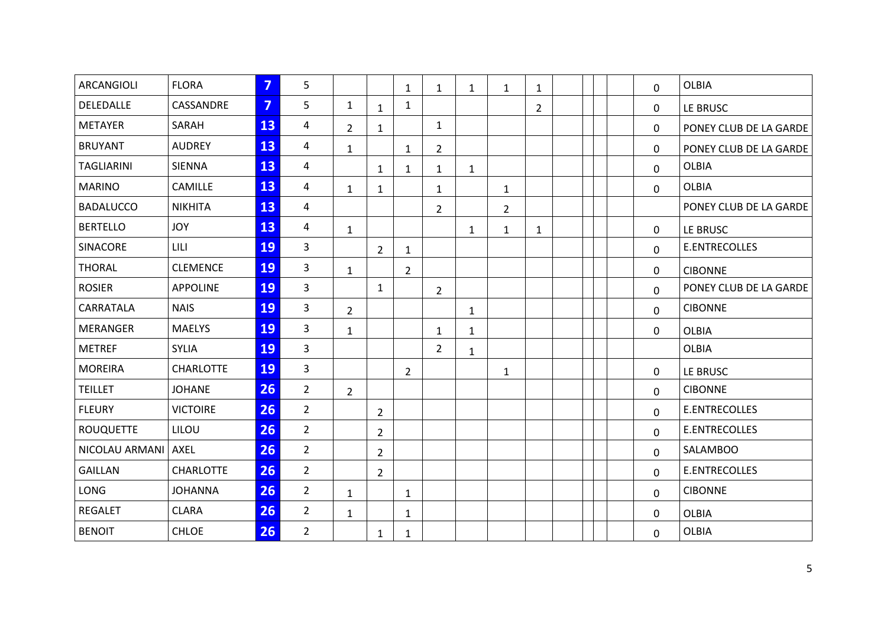| <b>ARCANGIOLI</b> | <b>FLORA</b>     | $\overline{7}$ | 5              |                |                | $\mathbf{1}$   | $\mathbf{1}$   | $\mathbf{1}$ | $\mathbf{1}$   | $\mathbf{1}$   |  | $\mathbf 0$ | <b>OLBIA</b>           |
|-------------------|------------------|----------------|----------------|----------------|----------------|----------------|----------------|--------------|----------------|----------------|--|-------------|------------------------|
| DELEDALLE         | CASSANDRE        | $\overline{7}$ | 5              | $\mathbf{1}$   | $\mathbf{1}$   | $\mathbf{1}$   |                |              |                | $\overline{2}$ |  | 0           | LE BRUSC               |
| <b>METAYER</b>    | SARAH            | 13             | 4              | $\overline{2}$ | $\mathbf{1}$   |                | $\mathbf{1}$   |              |                |                |  | 0           | PONEY CLUB DE LA GARDE |
| <b>BRUYANT</b>    | <b>AUDREY</b>    | 13             | 4              | $\mathbf{1}$   |                | $\mathbf{1}$   | $\overline{2}$ |              |                |                |  | 0           | PONEY CLUB DE LA GARDE |
| <b>TAGLIARINI</b> | <b>SIENNA</b>    | 13             | 4              |                | $\mathbf{1}$   | $\mathbf{1}$   | $\mathbf{1}$   | $\mathbf{1}$ |                |                |  | 0           | <b>OLBIA</b>           |
| <b>MARINO</b>     | CAMILLE          | 13             | 4              | $\mathbf{1}$   | $\mathbf{1}$   |                | $\mathbf{1}$   |              | $\mathbf{1}$   |                |  | $\mathbf 0$ | <b>OLBIA</b>           |
| <b>BADALUCCO</b>  | <b>NIKHITA</b>   | 13             | 4              |                |                |                | $\overline{2}$ |              | $\overline{2}$ |                |  |             | PONEY CLUB DE LA GARDE |
| <b>BERTELLO</b>   | <b>JOY</b>       | 13             | 4              | $\mathbf{1}$   |                |                |                | 1            | $\mathbf{1}$   | $\mathbf{1}$   |  | 0           | LE BRUSC               |
| SINACORE          | LILI             | 19             | $\overline{3}$ |                | $\overline{2}$ | $\mathbf{1}$   |                |              |                |                |  | $\mathbf 0$ | <b>E.ENTRECOLLES</b>   |
| <b>THORAL</b>     | <b>CLEMENCE</b>  | 19             | 3              | $\mathbf{1}$   |                | $\overline{2}$ |                |              |                |                |  | 0           | <b>CIBONNE</b>         |
| <b>ROSIER</b>     | <b>APPOLINE</b>  | 19             | $\overline{3}$ |                | $\mathbf{1}$   |                | $\overline{2}$ |              |                |                |  | 0           | PONEY CLUB DE LA GARDE |
| CARRATALA         | <b>NAIS</b>      | 19             | 3              | $\overline{2}$ |                |                |                | 1            |                |                |  | 0           | <b>CIBONNE</b>         |
| <b>MERANGER</b>   | <b>MAELYS</b>    | 19             | 3              | $\mathbf{1}$   |                |                | $\mathbf{1}$   | $\mathbf{1}$ |                |                |  | 0           | <b>OLBIA</b>           |
| <b>METREF</b>     | <b>SYLIA</b>     | 19             | 3              |                |                |                | $\overline{2}$ | 1            |                |                |  |             | <b>OLBIA</b>           |
| <b>MOREIRA</b>    | <b>CHARLOTTE</b> | 19             | 3              |                |                | $\overline{2}$ |                |              | $\mathbf{1}$   |                |  | 0           | LE BRUSC               |
| <b>TEILLET</b>    | <b>JOHANE</b>    | 26             | $\overline{2}$ | $\overline{2}$ |                |                |                |              |                |                |  | 0           | <b>CIBONNE</b>         |
| <b>FLEURY</b>     | <b>VICTOIRE</b>  | 26             | $\overline{2}$ |                | $\overline{2}$ |                |                |              |                |                |  | $\mathbf 0$ | E.ENTRECOLLES          |
| <b>ROUQUETTE</b>  | LILOU            | 26             | $\overline{2}$ |                | $\overline{2}$ |                |                |              |                |                |  | 0           | E.ENTRECOLLES          |
| NICOLAU ARMANI    | <b>AXEL</b>      | 26             | $\overline{2}$ |                | $\overline{2}$ |                |                |              |                |                |  | 0           | <b>SALAMBOO</b>        |
| <b>GAILLAN</b>    | <b>CHARLOTTE</b> | 26             | $\overline{2}$ |                | $\overline{2}$ |                |                |              |                |                |  | 0           | E.ENTRECOLLES          |
| LONG              | <b>JOHANNA</b>   | 26             | $\overline{2}$ | $\mathbf{1}$   |                | $\mathbf{1}$   |                |              |                |                |  | $\mathbf 0$ | <b>CIBONNE</b>         |
| <b>REGALET</b>    | <b>CLARA</b>     | 26             | $\overline{2}$ | $\mathbf{1}$   |                | $\mathbf{1}$   |                |              |                |                |  | 0           | <b>OLBIA</b>           |
| <b>BENOIT</b>     | <b>CHLOE</b>     | 26             | $\overline{2}$ |                | $\mathbf{1}$   | $\mathbf{1}$   |                |              |                |                |  | $\mathbf 0$ | <b>OLBIA</b>           |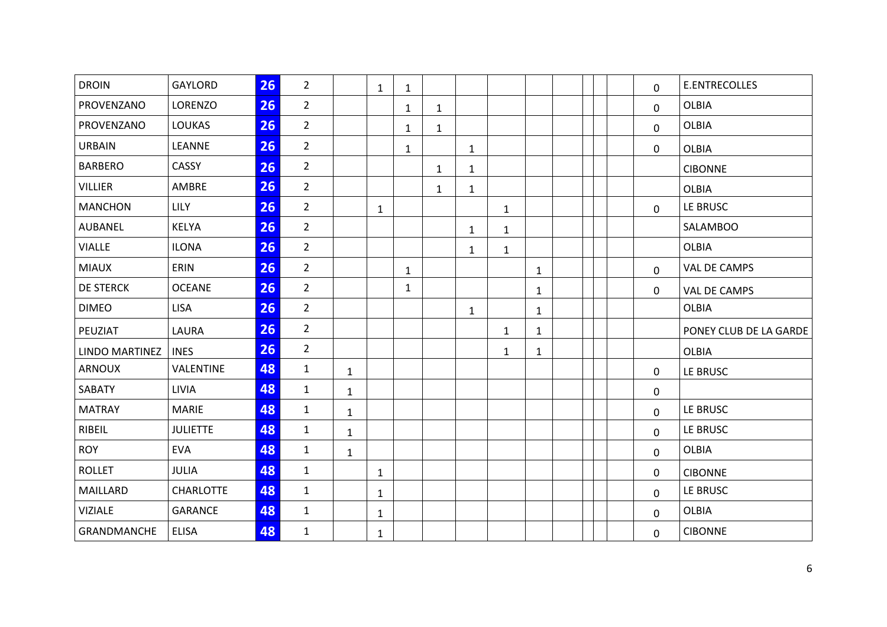| <b>GAYLORD</b>   | 26 | $\overline{2}$ |              | $\mathbf{1}$ | $\mathbf{1}$ |              |              |              |              |  | 0            | <b>E.ENTRECOLLES</b>   |
|------------------|----|----------------|--------------|--------------|--------------|--------------|--------------|--------------|--------------|--|--------------|------------------------|
| LORENZO          | 26 | $\overline{2}$ |              |              | 1            | $\mathbf{1}$ |              |              |              |  | 0            | <b>OLBIA</b>           |
| <b>LOUKAS</b>    | 26 | $\overline{2}$ |              |              | $\mathbf{1}$ | $\mathbf{1}$ |              |              |              |  | 0            | <b>OLBIA</b>           |
| LEANNE           | 26 | $\overline{2}$ |              |              | $\mathbf{1}$ |              | $\mathbf{1}$ |              |              |  | 0            | <b>OLBIA</b>           |
| CASSY            | 26 | $\overline{2}$ |              |              |              | $\mathbf{1}$ | $\mathbf{1}$ |              |              |  |              | <b>CIBONNE</b>         |
| AMBRE            | 26 | $\overline{2}$ |              |              |              | $\mathbf{1}$ | $\mathbf{1}$ |              |              |  |              | <b>OLBIA</b>           |
| <b>LILY</b>      | 26 | $\overline{2}$ |              | $\mathbf{1}$ |              |              |              | $\mathbf{1}$ |              |  | $\Omega$     | LE BRUSC               |
| <b>KELYA</b>     | 26 | $\overline{2}$ |              |              |              |              | $\mathbf{1}$ | $\mathbf{1}$ |              |  |              | <b>SALAMBOO</b>        |
| <b>ILONA</b>     | 26 | $\overline{2}$ |              |              |              |              | $\mathbf{1}$ | $\mathbf{1}$ |              |  |              | <b>OLBIA</b>           |
| ERIN             | 26 | $\overline{2}$ |              |              | 1            |              |              |              | $\mathbf{1}$ |  | $\mathbf 0$  | VAL DE CAMPS           |
| <b>OCEANE</b>    | 26 | $\overline{2}$ |              |              | $\mathbf{1}$ |              |              |              | $\mathbf{1}$ |  | $\mathbf{0}$ | VAL DE CAMPS           |
| <b>LISA</b>      | 26 | $\overline{2}$ |              |              |              |              | $\mathbf{1}$ |              | $\mathbf{1}$ |  |              | <b>OLBIA</b>           |
| LAURA            | 26 | $\overline{2}$ |              |              |              |              |              | $\mathbf{1}$ | $\mathbf{1}$ |  |              | PONEY CLUB DE LA GARDE |
| <b>INES</b>      | 26 | $\overline{2}$ |              |              |              |              |              | $\mathbf{1}$ | $\mathbf{1}$ |  |              | <b>OLBIA</b>           |
| VALENTINE        | 48 | $\mathbf{1}$   | $\mathbf{1}$ |              |              |              |              |              |              |  | 0            | LE BRUSC               |
| LIVIA            | 48 | $\mathbf{1}$   | $\mathbf{1}$ |              |              |              |              |              |              |  | 0            |                        |
| <b>MARIE</b>     | 48 | $\mathbf{1}$   | $\mathbf{1}$ |              |              |              |              |              |              |  | 0            | LE BRUSC               |
| <b>JULIETTE</b>  | 48 | $\mathbf{1}$   | $\mathbf{1}$ |              |              |              |              |              |              |  | 0            | LE BRUSC               |
| <b>EVA</b>       | 48 | $\mathbf{1}$   | $\mathbf{1}$ |              |              |              |              |              |              |  | $\mathbf 0$  | <b>OLBIA</b>           |
| JULIA            | 48 | $\mathbf{1}$   |              | $\mathbf{1}$ |              |              |              |              |              |  | 0            | <b>CIBONNE</b>         |
| <b>CHARLOTTE</b> | 48 | $\mathbf{1}$   |              | $\mathbf{1}$ |              |              |              |              |              |  | 0            | LE BRUSC               |
| <b>GARANCE</b>   | 48 | $\mathbf{1}$   |              | $\mathbf{1}$ |              |              |              |              |              |  | $\mathbf{0}$ | <b>OLBIA</b>           |
| <b>ELISA</b>     | 48 | $\mathbf{1}$   |              | $\mathbf{1}$ |              |              |              |              |              |  | 0            | <b>CIBONNE</b>         |
|                  |    |                |              |              |              |              |              |              |              |  |              |                        |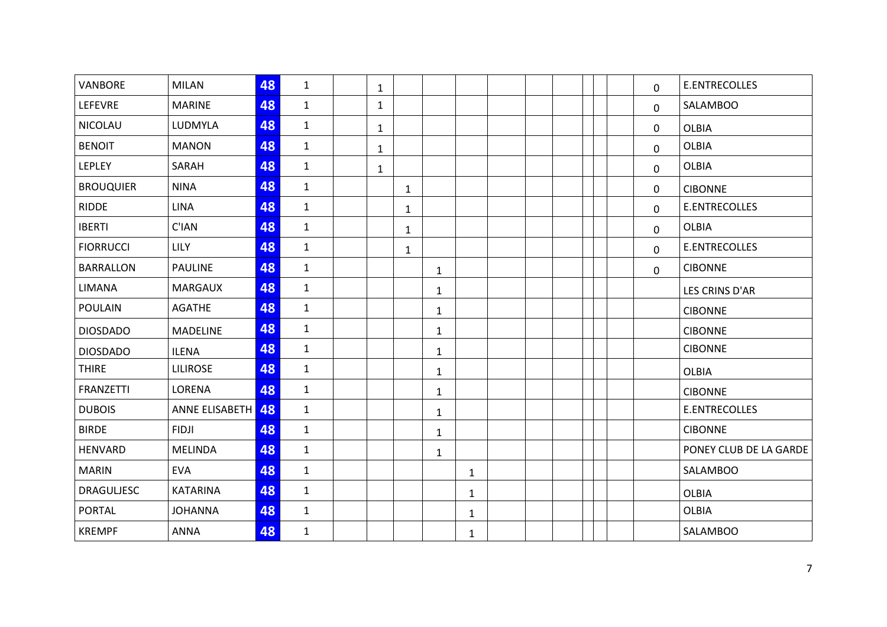| <b>VANBORE</b>    | <b>MILAN</b>      | 48 | $\mathbf{1}$ | $\mathbf{1}$ |              |              |              |  |  | 0           | <b>E.ENTRECOLLES</b>   |
|-------------------|-------------------|----|--------------|--------------|--------------|--------------|--------------|--|--|-------------|------------------------|
| LEFEVRE           | <b>MARINE</b>     | 48 | $\mathbf{1}$ | $\mathbf{1}$ |              |              |              |  |  | 0           | <b>SALAMBOO</b>        |
| <b>NICOLAU</b>    | LUDMYLA           | 48 | $\mathbf{1}$ | $\mathbf{1}$ |              |              |              |  |  | 0           | <b>OLBIA</b>           |
| <b>BENOIT</b>     | <b>MANON</b>      | 48 | $\mathbf{1}$ | $\mathbf{1}$ |              |              |              |  |  | $\mathbf 0$ | <b>OLBIA</b>           |
| <b>LEPLEY</b>     | SARAH             | 48 | $\mathbf{1}$ | $\mathbf{1}$ |              |              |              |  |  | 0           | <b>OLBIA</b>           |
| <b>BROUQUIER</b>  | <b>NINA</b>       | 48 | $\mathbf{1}$ |              | $\mathbf{1}$ |              |              |  |  | 0           | <b>CIBONNE</b>         |
| <b>RIDDE</b>      | <b>LINA</b>       | 48 | $\mathbf{1}$ |              | $\mathbf{1}$ |              |              |  |  | 0           | <b>E.ENTRECOLLES</b>   |
| <b>IBERTI</b>     | C'IAN             | 48 | $\mathbf{1}$ |              | $\mathbf{1}$ |              |              |  |  | 0           | <b>OLBIA</b>           |
| <b>FIORRUCCI</b>  | <b>LILY</b>       | 48 | $\mathbf{1}$ |              | $\mathbf{1}$ |              |              |  |  | 0           | <b>E.ENTRECOLLES</b>   |
| <b>BARRALLON</b>  | <b>PAULINE</b>    | 48 | $\mathbf{1}$ |              |              | $\mathbf{1}$ |              |  |  | 0           | <b>CIBONNE</b>         |
| LIMANA            | <b>MARGAUX</b>    | 48 | $\mathbf{1}$ |              |              | $\mathbf{1}$ |              |  |  |             | LES CRINS D'AR         |
| <b>POULAIN</b>    | <b>AGATHE</b>     | 48 | $\mathbf{1}$ |              |              | $\mathbf{1}$ |              |  |  |             | <b>CIBONNE</b>         |
| <b>DIOSDADO</b>   | <b>MADELINE</b>   | 48 | $\mathbf{1}$ |              |              | $\mathbf{1}$ |              |  |  |             | <b>CIBONNE</b>         |
| <b>DIOSDADO</b>   | <b>ILENA</b>      | 48 | $\mathbf{1}$ |              |              | $\mathbf{1}$ |              |  |  |             | <b>CIBONNE</b>         |
| <b>THIRE</b>      | <b>LILIROSE</b>   | 48 | $\mathbf{1}$ |              |              | $\mathbf{1}$ |              |  |  |             | <b>OLBIA</b>           |
| <b>FRANZETTI</b>  | LORENA            | 48 | $\mathbf{1}$ |              |              | 1            |              |  |  |             | <b>CIBONNE</b>         |
| <b>DUBOIS</b>     | ANNE ELISABETH 48 |    | $\mathbf{1}$ |              |              | $\mathbf{1}$ |              |  |  |             | <b>E.ENTRECOLLES</b>   |
| <b>BIRDE</b>      | <b>FIDJI</b>      | 48 | $\mathbf{1}$ |              |              | $\mathbf{1}$ |              |  |  |             | <b>CIBONNE</b>         |
| <b>HENVARD</b>    | <b>MELINDA</b>    | 48 | $\mathbf{1}$ |              |              | $\mathbf{1}$ |              |  |  |             | PONEY CLUB DE LA GARDE |
| <b>MARIN</b>      | <b>EVA</b>        | 48 | $\mathbf{1}$ |              |              |              | $\mathbf{1}$ |  |  |             | <b>SALAMBOO</b>        |
| <b>DRAGULJESC</b> | <b>KATARINA</b>   | 48 | $\mathbf{1}$ |              |              |              | $\mathbf{1}$ |  |  |             | <b>OLBIA</b>           |
| <b>PORTAL</b>     | <b>JOHANNA</b>    | 48 | $\mathbf{1}$ |              |              |              | 1            |  |  |             | <b>OLBIA</b>           |
| <b>KREMPF</b>     | <b>ANNA</b>       | 48 | $\mathbf 1$  |              |              |              | $\mathbf{1}$ |  |  |             | <b>SALAMBOO</b>        |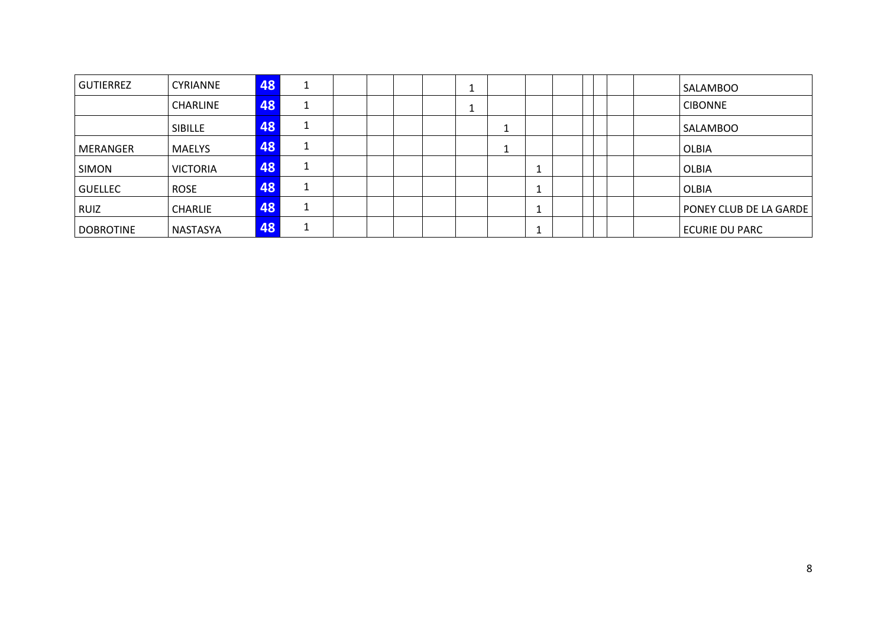| <b>GUTIERREZ</b> | <b>CYRIANNE</b> | 48 |  |  | ᆠ |  |  |  | SALAMBOO               |
|------------------|-----------------|----|--|--|---|--|--|--|------------------------|
|                  | <b>CHARLINE</b> | 48 |  |  | ᆠ |  |  |  | <b>CIBONNE</b>         |
|                  | <b>SIBILLE</b>  | 48 |  |  |   |  |  |  | SALAMBOO               |
| <b>MERANGER</b>  | <b>MAELYS</b>   | 48 |  |  |   |  |  |  | OLBIA                  |
| <b>SIMON</b>     | <b>VICTORIA</b> | 48 |  |  |   |  |  |  | OLBIA                  |
| <b>GUELLEC</b>   | <b>ROSE</b>     | 48 |  |  |   |  |  |  | OLBIA                  |
| <b>RUIZ</b>      | <b>CHARLIE</b>  | 48 |  |  |   |  |  |  | PONEY CLUB DE LA GARDE |
| <b>DOBROTINE</b> | NASTASYA        | 48 |  |  |   |  |  |  | <b>ECURIE DU PARC</b>  |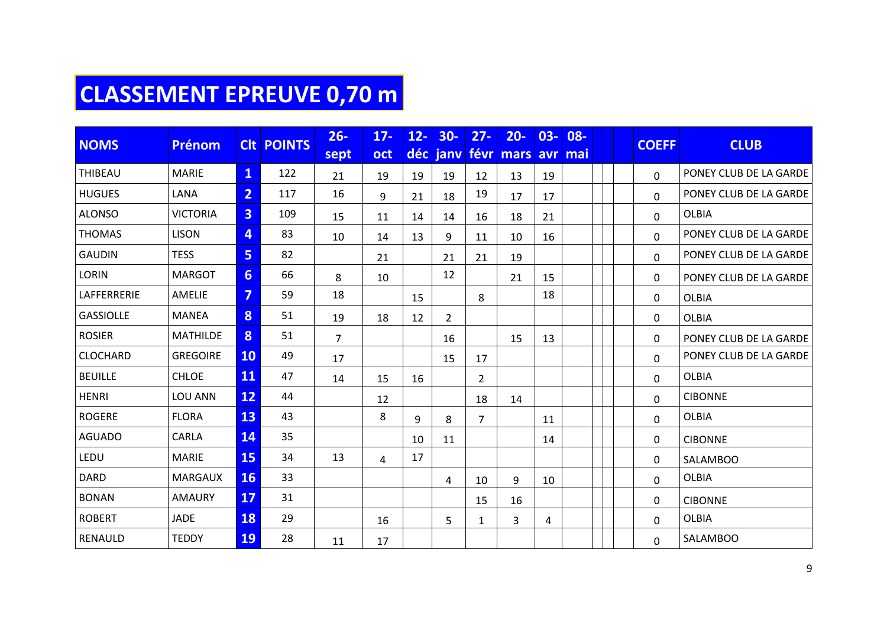# **CLASSEMENT EPREUVE 0,70 m**

|                  | <b>NOMS</b><br><b>Prénom</b> |                         | <b>CIt POINTS</b> | $26 -$         | $17 -$     | $12 -$ | $30-$          | $27 -$         | $20 -$    | $03 -$ | $08 -$  |  | <b>COEFF</b> | <b>CLUB</b>            |
|------------------|------------------------------|-------------------------|-------------------|----------------|------------|--------|----------------|----------------|-----------|--------|---------|--|--------------|------------------------|
|                  |                              |                         |                   | sept           | <b>oct</b> |        | déc janv       |                | févr mars |        | avr mai |  |              |                        |
| THIBEAU          | <b>MARIE</b>                 | $\overline{\mathbf{1}}$ | 122               | 21             | 19         | 19     | 19             | 12             | 13        | 19     |         |  | $\Omega$     | PONEY CLUB DE LA GARDE |
| <b>HUGUES</b>    | <b>LANA</b>                  | $\overline{2}$          | 117               | 16             | 9          | 21     | 18             | 19             | 17        | 17     |         |  | $\Omega$     | PONEY CLUB DE LA GARDE |
| <b>ALONSO</b>    | <b>VICTORIA</b>              | $\overline{3}$          | 109               | 15             | 11         | 14     | 14             | 16             | 18        | 21     |         |  | 0            | <b>OLBIA</b>           |
| <b>THOMAS</b>    | <b>LISON</b>                 | 4                       | 83                | 10             | 14         | 13     | 9              | 11             | 10        | 16     |         |  | $\Omega$     | PONEY CLUB DE LA GARDE |
| <b>GAUDIN</b>    | <b>TESS</b>                  | 5                       | 82                |                | 21         |        | 21             | 21             | 19        |        |         |  | 0            | PONEY CLUB DE LA GARDE |
| <b>LORIN</b>     | <b>MARGOT</b>                | 6 <sup>1</sup>          | 66                | 8              | 10         |        | 12             |                | 21        | 15     |         |  | 0            | PONEY CLUB DE LA GARDE |
| LAFFERRERIE      | AMELIE                       | $\overline{7}$          | 59                | 18             |            | 15     |                | 8              |           | 18     |         |  | 0            | <b>OLBIA</b>           |
| <b>GASSIOLLE</b> | <b>MANEA</b>                 | 8                       | 51                | 19             | 18         | 12     | $\overline{2}$ |                |           |        |         |  | 0            | <b>OLBIA</b>           |
| <b>ROSIER</b>    | <b>MATHILDE</b>              | 8                       | 51                | $\overline{7}$ |            |        | 16             |                | 15        | 13     |         |  | 0            | PONEY CLUB DE LA GARDE |
| <b>CLOCHARD</b>  | <b>GREGOIRE</b>              | <b>10</b>               | 49                | 17             |            |        | 15             | 17             |           |        |         |  | 0            | PONEY CLUB DE LA GARDE |
| <b>BEUILLE</b>   | <b>CHLOE</b>                 | 11                      | 47                | 14             | 15         | 16     |                | $\overline{2}$ |           |        |         |  | $\Omega$     | <b>OLBIA</b>           |
| <b>HENRI</b>     | LOU ANN                      | 12                      | 44                |                | 12         |        |                | 18             | 14        |        |         |  | $\Omega$     | <b>CIBONNE</b>         |
| <b>ROGERE</b>    | <b>FLORA</b>                 | 13                      | 43                |                | 8          | 9      | 8              | $\overline{7}$ |           | 11     |         |  | 0            | <b>OLBIA</b>           |
| <b>AGUADO</b>    | CARLA                        | <b>14</b>               | 35                |                |            | 10     | 11             |                |           | 14     |         |  | 0            | <b>CIBONNE</b>         |
| LEDU             | <b>MARIE</b>                 | <b>15</b>               | 34                | 13             | 4          | 17     |                |                |           |        |         |  | 0            | <b>SALAMBOO</b>        |
| <b>DARD</b>      | <b>MARGAUX</b>               | <b>16</b>               | 33                |                |            |        | 4              | 10             | 9         | 10     |         |  | 0            | <b>OLBIA</b>           |
| <b>BONAN</b>     | <b>AMAURY</b>                | 17                      | 31                |                |            |        |                | 15             | 16        |        |         |  | 0            | <b>CIBONNE</b>         |
| <b>ROBERT</b>    | <b>JADE</b>                  | <b>18</b>               | 29                |                | 16         |        | 5              | $\mathbf{1}$   | 3         | 4      |         |  | 0            | <b>OLBIA</b>           |
| RENAULD          | <b>TEDDY</b>                 | <b>19</b>               | 28                | 11             | 17         |        |                |                |           |        |         |  | $\Omega$     | <b>SALAMBOO</b>        |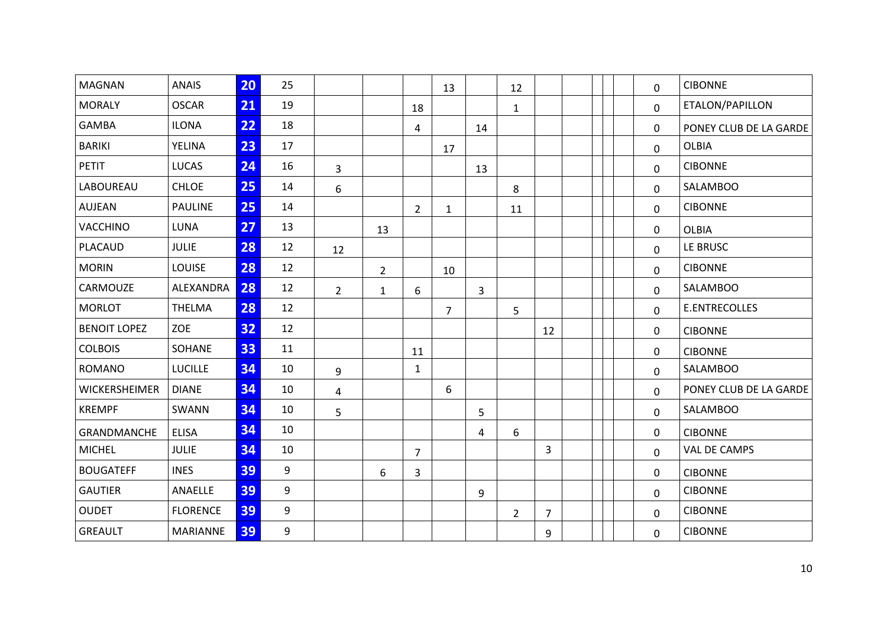| <b>MAGNAN</b>        | <b>ANAIS</b>    | 20 | 25 |                |                |                | 13             |                | 12             |                |  | 0            | <b>CIBONNE</b>         |
|----------------------|-----------------|----|----|----------------|----------------|----------------|----------------|----------------|----------------|----------------|--|--------------|------------------------|
| <b>MORALY</b>        | <b>OSCAR</b>    | 21 | 19 |                |                | 18             |                |                | $\mathbf{1}$   |                |  | 0            | ETALON/PAPILLON        |
| GAMBA                | <b>ILONA</b>    | 22 | 18 |                |                | 4              |                | 14             |                |                |  | $\mathbf{0}$ | PONEY CLUB DE LA GARDE |
| <b>BARIKI</b>        | YELINA          | 23 | 17 |                |                |                | 17             |                |                |                |  | $\mathbf 0$  | OLBIA                  |
| <b>PETIT</b>         | <b>LUCAS</b>    | 24 | 16 | $\overline{3}$ |                |                |                | 13             |                |                |  | 0            | <b>CIBONNE</b>         |
| <b>LABOUREAU</b>     | <b>CHLOE</b>    | 25 | 14 | 6              |                |                |                |                | 8              |                |  | 0            | <b>SALAMBOO</b>        |
| AUJEAN               | <b>PAULINE</b>  | 25 | 14 |                |                | $\overline{2}$ | $\mathbf{1}$   |                | 11             |                |  | 0            | <b>CIBONNE</b>         |
| VACCHINO             | <b>LUNA</b>     | 27 | 13 |                | 13             |                |                |                |                |                |  | 0            | <b>OLBIA</b>           |
| <b>PLACAUD</b>       | <b>JULIE</b>    | 28 | 12 | 12             |                |                |                |                |                |                |  | $\Omega$     | LE BRUSC               |
| <b>MORIN</b>         | LOUISE          | 28 | 12 |                | $\overline{2}$ |                | 10             |                |                |                |  | 0            | <b>CIBONNE</b>         |
| CARMOUZE             | ALEXANDRA       | 28 | 12 | $\overline{2}$ | $\mathbf{1}$   | 6              |                | $\overline{3}$ |                |                |  | $\mathbf 0$  | SALAMBOO               |
| <b>MORLOT</b>        | THELMA          | 28 | 12 |                |                |                | $\overline{7}$ |                | 5              |                |  | 0            | E.ENTRECOLLES          |
| <b>BENOIT LOPEZ</b>  | ZOE             | 32 | 12 |                |                |                |                |                |                | 12             |  | 0            | <b>CIBONNE</b>         |
| <b>COLBOIS</b>       | SOHANE          | 33 | 11 |                |                | 11             |                |                |                |                |  | 0            | <b>CIBONNE</b>         |
| <b>ROMANO</b>        | <b>LUCILLE</b>  | 34 | 10 | 9              |                | $\mathbf{1}$   |                |                |                |                |  | $\mathbf 0$  | <b>SALAMBOO</b>        |
| <b>WICKERSHEIMER</b> | <b>DIANE</b>    | 34 | 10 | $\overline{4}$ |                |                | 6              |                |                |                |  | 0            | PONEY CLUB DE LA GARDE |
| <b>KREMPF</b>        | SWANN           | 34 | 10 | 5              |                |                |                | 5              |                |                |  | 0            | <b>SALAMBOO</b>        |
| GRANDMANCHE          | <b>ELISA</b>    | 34 | 10 |                |                |                |                | 4              | 6              |                |  | 0            | <b>CIBONNE</b>         |
| <b>MICHEL</b>        | <b>JULIE</b>    | 34 | 10 |                |                | $\overline{7}$ |                |                |                | 3              |  | 0            | VAL DE CAMPS           |
| <b>BOUGATEFF</b>     | <b>INES</b>     | 39 | 9  |                | 6              | 3              |                |                |                |                |  | 0            | <b>CIBONNE</b>         |
| <b>GAUTIER</b>       | ANAELLE         | 39 | 9  |                |                |                |                | 9              |                |                |  | 0            | <b>CIBONNE</b>         |
| <b>OUDET</b>         | <b>FLORENCE</b> | 39 | 9  |                |                |                |                |                | $\overline{2}$ | $\overline{7}$ |  | $\mathbf{0}$ | <b>CIBONNE</b>         |
| <b>GREAULT</b>       | <b>MARIANNE</b> | 39 | 9  |                |                |                |                |                |                | 9              |  | 0            | <b>CIBONNE</b>         |
|                      |                 |    |    |                |                |                |                |                |                |                |  |              |                        |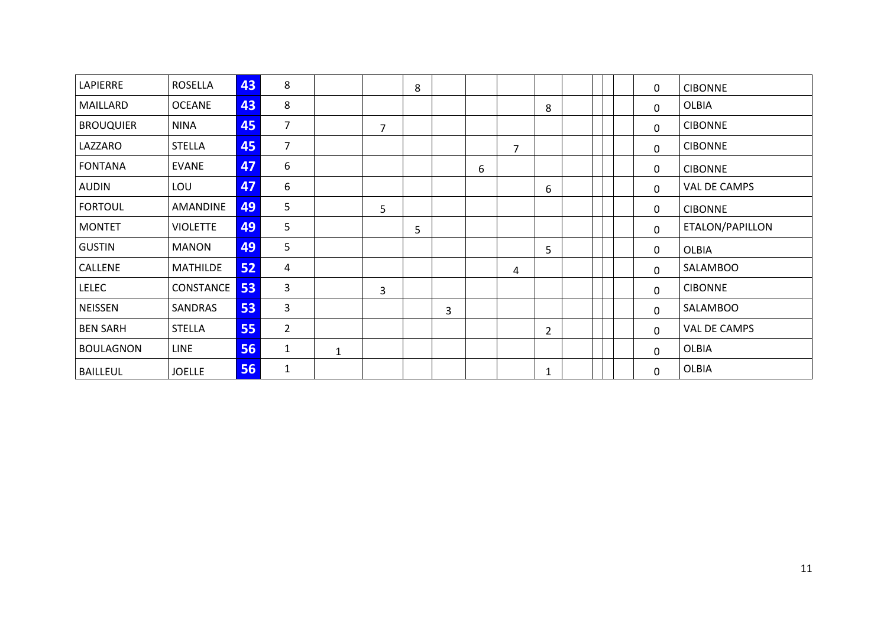| LAPIERRE         | <b>ROSELLA</b>  | 43 | 8              |              |   | 8 |   |   |                |                |  | 0            | <b>CIBONNE</b>  |
|------------------|-----------------|----|----------------|--------------|---|---|---|---|----------------|----------------|--|--------------|-----------------|
| MAILLARD         | <b>OCEANE</b>   | 43 | 8              |              |   |   |   |   |                | 8              |  | $\Omega$     | OLBIA           |
| <b>BROUQUIER</b> | <b>NINA</b>     | 45 | $\overline{7}$ |              | 7 |   |   |   |                |                |  | $\mathbf{0}$ | <b>CIBONNE</b>  |
| LAZZARO          | <b>STELLA</b>   | 45 | $\overline{7}$ |              |   |   |   |   | $\overline{7}$ |                |  | $\mathbf{0}$ | <b>CIBONNE</b>  |
| <b>FONTANA</b>   | <b>EVANE</b>    | 47 | 6              |              |   |   |   | 6 |                |                |  | 0            | <b>CIBONNE</b>  |
| <b>AUDIN</b>     | LOU             | 47 | 6              |              |   |   |   |   |                | 6              |  | $\mathbf{0}$ | VAL DE CAMPS    |
| <b>FORTOUL</b>   | <b>AMANDINE</b> | 49 | 5              |              | 5 |   |   |   |                |                |  | 0            | <b>CIBONNE</b>  |
| <b>MONTET</b>    | <b>VIOLETTE</b> | 49 | 5              |              |   | 5 |   |   |                |                |  | $\mathbf{0}$ | ETALON/PAPILLON |
| <b>GUSTIN</b>    | <b>MANON</b>    | 49 | 5              |              |   |   |   |   |                | 5              |  | 0            | <b>OLBIA</b>    |
| CALLENE          | <b>MATHILDE</b> | 52 | 4              |              |   |   |   |   | 4              |                |  | $\mathbf{0}$ | SALAMBOO        |
| <b>LELEC</b>     | CONSTANCE       | 53 | 3              |              | 3 |   |   |   |                |                |  | 0            | <b>CIBONNE</b>  |
| <b>NEISSEN</b>   | SANDRAS         | 53 | 3              |              |   |   | 3 |   |                |                |  | $\mathbf 0$  | SALAMBOO        |
| <b>BEN SARH</b>  | <b>STELLA</b>   | 55 | $\overline{2}$ |              |   |   |   |   |                | $\overline{2}$ |  | 0            | VAL DE CAMPS    |
| <b>BOULAGNON</b> | <b>LINE</b>     | 56 | $\mathbf{1}$   | $\mathbf{1}$ |   |   |   |   |                |                |  | 0            | OLBIA           |
| <b>BAILLEUL</b>  | <b>JOELLE</b>   | 56 | $\mathbf{1}$   |              |   |   |   |   |                | $\mathbf{1}$   |  | 0            | OLBIA           |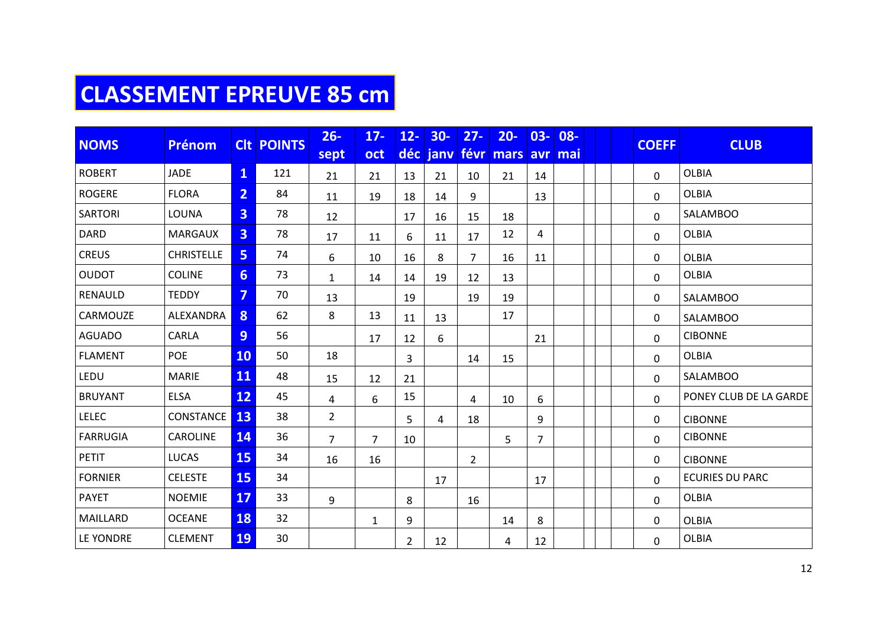## **CLASSEMENT EPREUVE 85 cm**

| <b>NOMS</b>     | <b>Prénom</b>     |                         | <b>CIt POINTS</b> | $26 -$         | $17 -$         | $12 -$         | $30-$    | $27 -$         | $20 -$       | $03 -$         | $08 -$ |  | <b>COEFF</b> | <b>CLUB</b>            |  |  |
|-----------------|-------------------|-------------------------|-------------------|----------------|----------------|----------------|----------|----------------|--------------|----------------|--------|--|--------------|------------------------|--|--|
|                 |                   |                         |                   | sept           | oct            |                | déc janv | févr           | mars avr mai |                |        |  |              |                        |  |  |
| <b>ROBERT</b>   | <b>JADE</b>       | $\mathbf{1}$            | 121               | 21             | 21             | 13             | 21       | 10             | 21           | 14             |        |  | 0            | <b>OLBIA</b>           |  |  |
| <b>ROGERE</b>   | <b>FLORA</b>      | $\overline{2}$          | 84                | 11             | 19             | 18             | 14       | 9              |              | 13             |        |  | 0            | <b>OLBIA</b>           |  |  |
| <b>SARTORI</b>  | LOUNA             | $\overline{3}$          | 78                | 12             |                | 17             | 16       | 15             | 18           |                |        |  | 0            | SALAMBOO               |  |  |
| <b>DARD</b>     | <b>MARGAUX</b>    | $\overline{3}$          | 78                | 17             | 11             | 6              | 11       | 17             | 12           | 4              |        |  | 0            | <b>OLBIA</b>           |  |  |
| <b>CREUS</b>    | <b>CHRISTELLE</b> | 5                       | 74                | 6              | 10             | 16             | 8        | $\overline{7}$ | 16           | 11             |        |  | 0            | <b>OLBIA</b>           |  |  |
| <b>OUDOT</b>    | <b>COLINE</b>     | 6                       | 73                | $\mathbf{1}$   | 14             | 14             | 19       | 12             | 13           |                |        |  | $\mathbf{0}$ | <b>OLBIA</b>           |  |  |
| RENAULD         | <b>TEDDY</b>      | $\overline{\mathbf{z}}$ | 70                | 13             |                | 19             |          | 19             | 19           |                |        |  | 0            | <b>SALAMBOO</b>        |  |  |
| CARMOUZE        | ALEXANDRA         | 8                       | 62                | 8              | 13             | 11             | 13       |                | 17           |                |        |  | 0            | <b>SALAMBOO</b>        |  |  |
| <b>AGUADO</b>   | CARLA             | 9                       | 56                |                | 17             | 12             | 6        |                |              | 21             |        |  | 0            | <b>CIBONNE</b>         |  |  |
| <b>FLAMENT</b>  | <b>POE</b>        | <b>10</b>               | 50                | 18             |                | 3              |          | 14             | 15           |                |        |  | 0            | <b>OLBIA</b>           |  |  |
| LEDU            | <b>MARIE</b>      | <b>11</b>               | 48                | 15             | 12             | 21             |          |                |              |                |        |  | $\mathbf 0$  | <b>SALAMBOO</b>        |  |  |
| <b>BRUYANT</b>  | <b>ELSA</b>       | 12                      | 45                | 4              | 6              | 15             |          | 4              | 10           | 6              |        |  | 0            | PONEY CLUB DE LA GARDE |  |  |
| <b>LELEC</b>    | CONSTANCE         | 13                      | 38                | $\overline{2}$ |                | 5              | 4        | 18             |              | 9              |        |  | 0            | <b>CIBONNE</b>         |  |  |
| <b>FARRUGIA</b> | CAROLINE          | 14                      | 36                | $\overline{7}$ | $\overline{7}$ | 10             |          |                | 5            | $\overline{7}$ |        |  | 0            | <b>CIBONNE</b>         |  |  |
| <b>PETIT</b>    | <b>LUCAS</b>      | <b>15</b>               | 34                | 16             | 16             |                |          | $\overline{2}$ |              |                |        |  | 0            | <b>CIBONNE</b>         |  |  |
| <b>FORNIER</b>  | <b>CELESTE</b>    | <b>15</b>               | 34                |                |                |                | 17       |                |              | 17             |        |  | $\Omega$     | <b>ECURIES DU PARC</b> |  |  |
| <b>PAYET</b>    | <b>NOEMIE</b>     | <b>17</b>               | 33                | 9              |                | 8              |          | 16             |              |                |        |  | 0            | <b>OLBIA</b>           |  |  |
| MAILLARD        | <b>OCEANE</b>     | 18                      | 32                |                | $\mathbf{1}$   | 9              |          |                | 14           | 8              |        |  | 0            | <b>OLBIA</b>           |  |  |
| LE YONDRE       | <b>CLEMENT</b>    | <b>19</b>               | 30                |                |                | $\overline{2}$ | 12       |                | 4            | 12             |        |  | 0            | <b>OLBIA</b>           |  |  |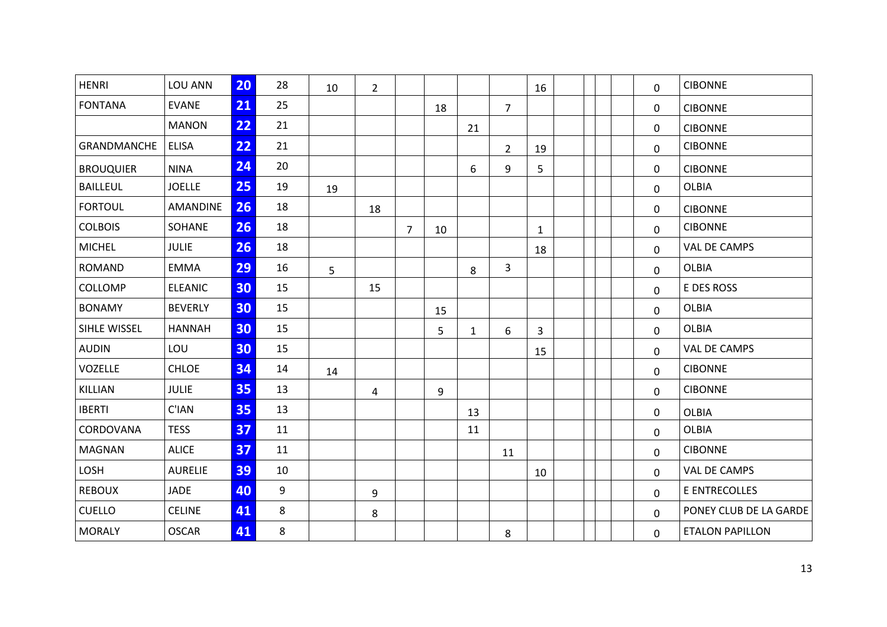| <b>HENRI</b>     | LOU ANN        | 20 | 28 | 10 | $\overline{2}$ |                |    |              |                | 16           |  | 0            | <b>CIBONNE</b>         |
|------------------|----------------|----|----|----|----------------|----------------|----|--------------|----------------|--------------|--|--------------|------------------------|
| <b>FONTANA</b>   | <b>EVANE</b>   | 21 | 25 |    |                |                | 18 |              | 7              |              |  | 0            | <b>CIBONNE</b>         |
|                  | <b>MANON</b>   | 22 | 21 |    |                |                |    | 21           |                |              |  | 0            | <b>CIBONNE</b>         |
| GRANDMANCHE      | <b>ELISA</b>   | 22 | 21 |    |                |                |    |              | $\overline{2}$ | 19           |  | $\mathbf 0$  | <b>CIBONNE</b>         |
| <b>BROUQUIER</b> | <b>NINA</b>    | 24 | 20 |    |                |                |    | 6            | 9              | 5            |  | 0            | <b>CIBONNE</b>         |
| <b>BAILLEUL</b>  | <b>JOELLE</b>  | 25 | 19 | 19 |                |                |    |              |                |              |  | 0            | <b>OLBIA</b>           |
| <b>FORTOUL</b>   | AMANDINE       | 26 | 18 |    | 18             |                |    |              |                |              |  | $\mathbf{0}$ | <b>CIBONNE</b>         |
| <b>COLBOIS</b>   | SOHANE         | 26 | 18 |    |                | $\overline{7}$ | 10 |              |                | $\mathbf{1}$ |  | 0            | <b>CIBONNE</b>         |
| <b>MICHEL</b>    | <b>JULIE</b>   | 26 | 18 |    |                |                |    |              |                | 18           |  | $\mathbf 0$  | VAL DE CAMPS           |
| ROMAND           | <b>EMMA</b>    | 29 | 16 | 5  |                |                |    | 8            | 3              |              |  | 0            | <b>OLBIA</b>           |
| COLLOMP          | <b>ELEANIC</b> | 30 | 15 |    | 15             |                |    |              |                |              |  | 0            | E DES ROSS             |
| <b>BONAMY</b>    | <b>BEVERLY</b> | 30 | 15 |    |                |                | 15 |              |                |              |  | 0            | <b>OLBIA</b>           |
| SIHLE WISSEL     | <b>HANNAH</b>  | 30 | 15 |    |                |                | 5  | $\mathbf{1}$ | 6              | 3            |  | 0            | <b>OLBIA</b>           |
| <b>AUDIN</b>     | LOU            | 30 | 15 |    |                |                |    |              |                | 15           |  | 0            | VAL DE CAMPS           |
| VOZELLE          | <b>CHLOE</b>   | 34 | 14 | 14 |                |                |    |              |                |              |  | 0            | <b>CIBONNE</b>         |
| KILLIAN          | <b>JULIE</b>   | 35 | 13 |    | 4              |                | 9  |              |                |              |  | 0            | <b>CIBONNE</b>         |
| <b>IBERTI</b>    | C'IAN          | 35 | 13 |    |                |                |    | 13           |                |              |  | 0            | <b>OLBIA</b>           |
| CORDOVANA        | <b>TESS</b>    | 37 | 11 |    |                |                |    | 11           |                |              |  | 0            | <b>OLBIA</b>           |
| <b>MAGNAN</b>    | <b>ALICE</b>   | 37 | 11 |    |                |                |    |              | 11             |              |  | 0            | <b>CIBONNE</b>         |
| LOSH             | <b>AURELIE</b> | 39 | 10 |    |                |                |    |              |                | 10           |  | $\mathbf 0$  | VAL DE CAMPS           |
| <b>REBOUX</b>    | JADE           | 40 | 9  |    | 9              |                |    |              |                |              |  | 0            | E ENTRECOLLES          |
| <b>CUELLO</b>    | <b>CELINE</b>  | 41 | 8  |    | 8              |                |    |              |                |              |  | 0            | PONEY CLUB DE LA GARDE |
| <b>MORALY</b>    | <b>OSCAR</b>   | 41 | 8  |    |                |                |    |              | 8              |              |  | 0            | <b>ETALON PAPILLON</b> |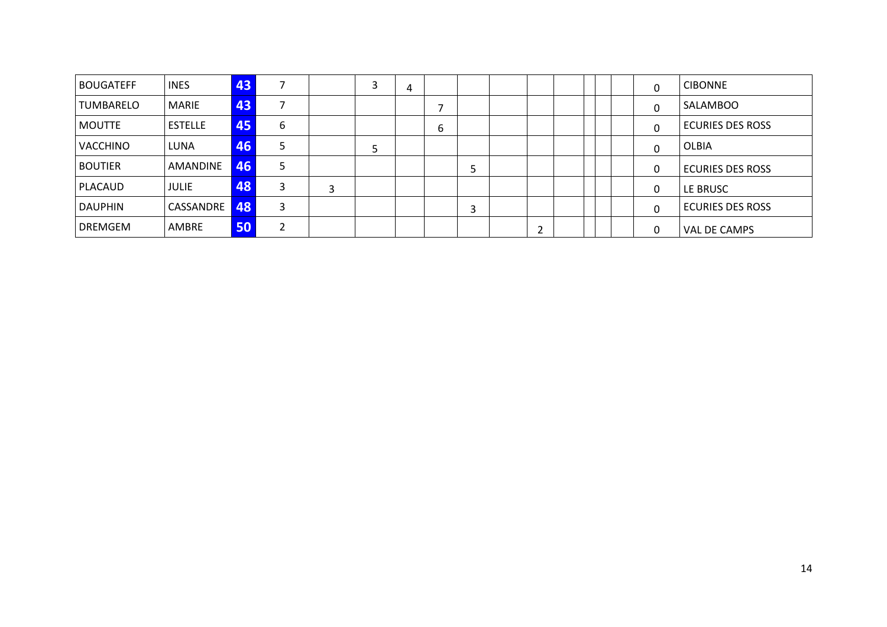| <b>BOUGATEFF</b> | <b>INES</b>      | 43 |   |   | 3 | 4 |   |   |  |  | 0 | <b>CIBONNE</b>          |
|------------------|------------------|----|---|---|---|---|---|---|--|--|---|-------------------------|
| <b>TUMBARELO</b> | MARIE            | 43 |   |   |   |   |   |   |  |  | 0 | SALAMBOO                |
| <b>MOUTTE</b>    | <b>ESTELLE</b>   | 45 | 6 |   |   |   | b |   |  |  | 0 | <b>ECURIES DES ROSS</b> |
| <b>VACCHINO</b>  | LUNA             | 46 |   |   | ל |   |   |   |  |  | 0 | OLBIA                   |
| <b>BOUTIER</b>   | AMANDINE         | 46 |   |   |   |   |   | ⊃ |  |  | 0 | <b>ECURIES DES ROSS</b> |
| PLACAUD          | <b>JULIE</b>     | 48 | З | 3 |   |   |   |   |  |  | 0 | LE BRUSC                |
| <b>DAUPHIN</b>   | <b>CASSANDRE</b> | 48 | 3 |   |   |   |   | 3 |  |  | 0 | <b>ECURIES DES ROSS</b> |
| <b>DREMGEM</b>   | AMBRE            | 50 |   |   |   |   |   |   |  |  | 0 | VAL DE CAMPS            |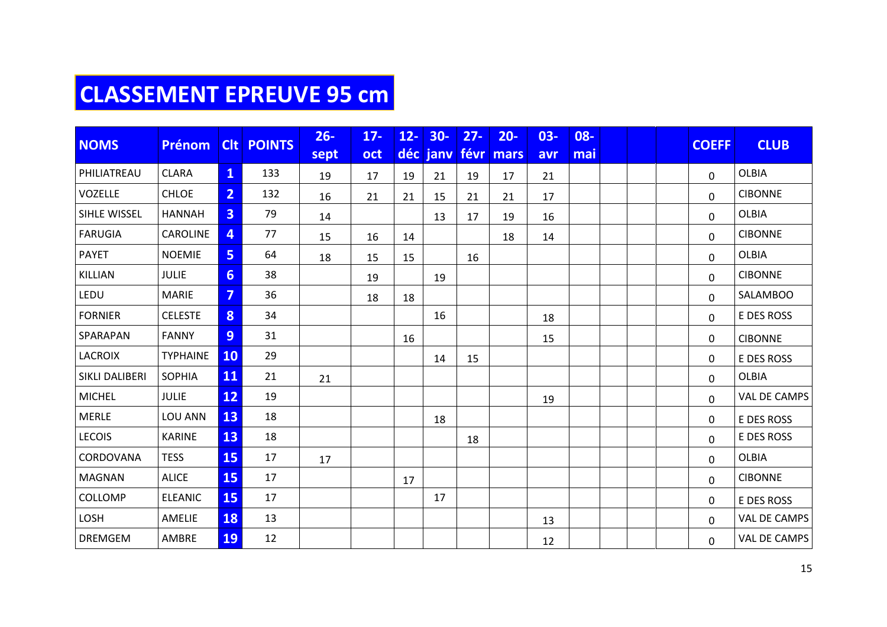## **CLASSEMENT EPREUVE 95 cm**

| <b>NOMS</b>           |                 |                | <b>CIt POINTS</b> | $26 -$ | $17 -$ | $12 -$ | $30-$         | $27 -$ | $20 -$ | $03 -$ | 08- |  | <b>COEFF</b> | <b>CLUB</b>         |
|-----------------------|-----------------|----------------|-------------------|--------|--------|--------|---------------|--------|--------|--------|-----|--|--------------|---------------------|
|                       | Prénom          |                |                   | sept   | oct    |        | déc janv févr |        | mars   | avr    | mai |  |              |                     |
| PHILIATREAU           | <b>CLARA</b>    | $\mathbf{1}$   | 133               | 19     | 17     | 19     | 21            | 19     | 17     | 21     |     |  | $\mathbf 0$  | <b>OLBIA</b>        |
| VOZELLE               | <b>CHLOE</b>    | $\overline{2}$ | 132               | 16     | 21     | 21     | 15            | 21     | 21     | 17     |     |  | 0            | <b>CIBONNE</b>      |
| SIHLE WISSEL          | <b>HANNAH</b>   | 3 <sup>1</sup> | 79                | 14     |        |        | 13            | 17     | 19     | 16     |     |  | 0            | <b>OLBIA</b>        |
| <b>FARUGIA</b>        | CAROLINE        | $\overline{4}$ | 77                | 15     | 16     | 14     |               |        | 18     | 14     |     |  | $\mathbf{0}$ | <b>CIBONNE</b>      |
| <b>PAYET</b>          | <b>NOEMIE</b>   | 5              | 64                | 18     | 15     | 15     |               | 16     |        |        |     |  | 0            | <b>OLBIA</b>        |
| KILLIAN               | <b>JULIE</b>    | 6 <sup>1</sup> | 38                |        | 19     |        | 19            |        |        |        |     |  | 0            | <b>CIBONNE</b>      |
| LEDU                  | <b>MARIE</b>    | $\overline{7}$ | 36                |        | 18     | 18     |               |        |        |        |     |  | 0            | SALAMBOO            |
| <b>FORNIER</b>        | <b>CELESTE</b>  | 8 <sup>°</sup> | 34                |        |        |        | 16            |        |        | 18     |     |  | 0            | E DES ROSS          |
| SPARAPAN              | <b>FANNY</b>    | 9 <sup>°</sup> | 31                |        |        | 16     |               |        |        | 15     |     |  | 0            | <b>CIBONNE</b>      |
| <b>LACROIX</b>        | <b>TYPHAINE</b> | <b>10</b>      | 29                |        |        |        | 14            | 15     |        |        |     |  | 0            | E DES ROSS          |
| <b>SIKLI DALIBERI</b> | <b>SOPHIA</b>   | 11             | 21                | 21     |        |        |               |        |        |        |     |  | $\mathbf 0$  | <b>OLBIA</b>        |
| <b>MICHEL</b>         | <b>JULIE</b>    | 12             | 19                |        |        |        |               |        |        | 19     |     |  | $\mathbf 0$  | VAL DE CAMPS        |
| <b>MERLE</b>          | LOU ANN         | 13             | 18                |        |        |        | 18            |        |        |        |     |  | 0            | E DES ROSS          |
| <b>LECOIS</b>         | <b>KARINE</b>   | 13             | 18                |        |        |        |               | 18     |        |        |     |  | $\mathbf{0}$ | E DES ROSS          |
| CORDOVANA             | <b>TESS</b>     | 15             | 17                | 17     |        |        |               |        |        |        |     |  | 0            | <b>OLBIA</b>        |
| <b>MAGNAN</b>         | <b>ALICE</b>    | 15             | 17                |        |        | 17     |               |        |        |        |     |  | 0            | <b>CIBONNE</b>      |
| COLLOMP               | <b>ELEANIC</b>  | 15             | 17                |        |        |        | 17            |        |        |        |     |  | 0            | E DES ROSS          |
| LOSH                  | AMELIE          | <b>18</b>      | 13                |        |        |        |               |        |        | 13     |     |  | $\mathsf{O}$ | VAL DE CAMPS        |
| <b>DREMGEM</b>        | AMBRE           | <b>19</b>      | 12                |        |        |        |               |        |        | 12     |     |  | 0            | <b>VAL DE CAMPS</b> |